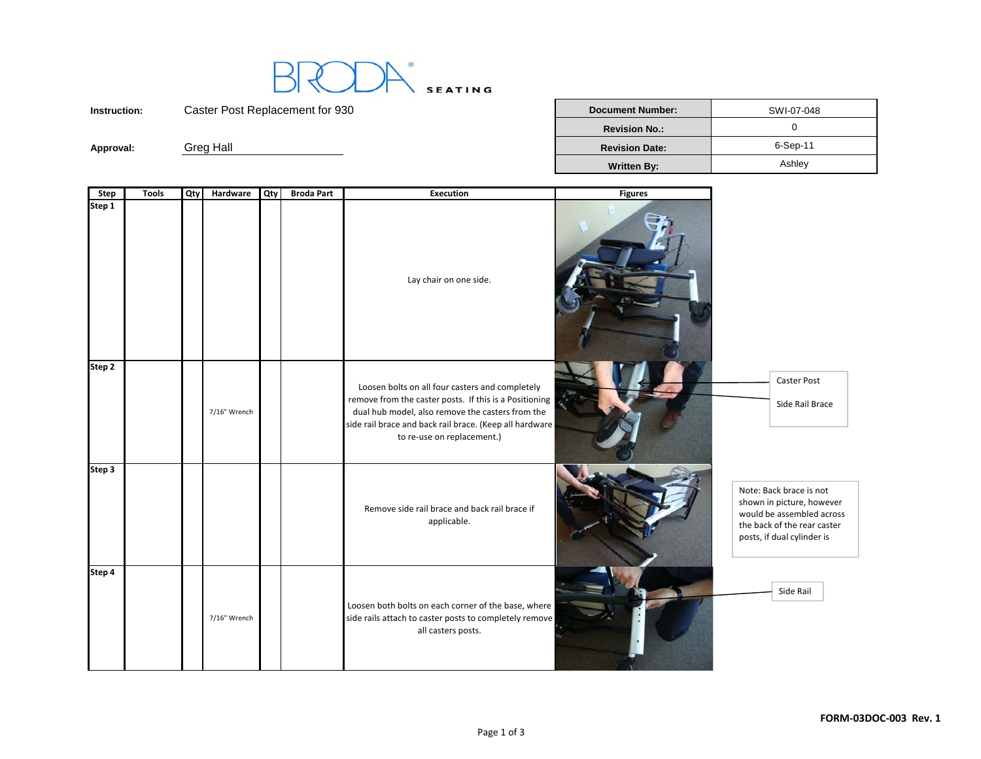

**Instruction:**

Caster Post Replacement for 930 **Document Number:** Number: SWI-07-048 **Revision No.:**. In the set of the set of the set of the set of the set of the set of the set of the set of the set of the se<br>Set of the set of the set of the set of the set of the set of the set of the set of the set of the set of the<br>S **Approval:** Greg Hall **Revision Date:** 6-Sep-11 **Written By:** Ashley

| Step   | <b>Tools</b> | Qty | Hardware     | <b>Qty</b> | <b>Broda Part</b> | <b>Execution</b>                                                                                                                                                                                                                                       | <b>Figures</b> |                                                                                                                                                |
|--------|--------------|-----|--------------|------------|-------------------|--------------------------------------------------------------------------------------------------------------------------------------------------------------------------------------------------------------------------------------------------------|----------------|------------------------------------------------------------------------------------------------------------------------------------------------|
| Step 1 |              |     |              |            |                   | Lay chair on one side.                                                                                                                                                                                                                                 |                |                                                                                                                                                |
| Step 2 |              |     | 7/16" Wrench |            |                   | Loosen bolts on all four casters and completely<br>remove from the caster posts. If this is a Positioning<br>dual hub model, also remove the casters from the<br>side rail brace and back rail brace. (Keep all hardware<br>to re-use on replacement.) |                | Caster Post<br>Side Rail Brace                                                                                                                 |
| Step 3 |              |     |              |            |                   | Remove side rail brace and back rail brace if<br>applicable.                                                                                                                                                                                           |                | Note: Back brace is not<br>shown in picture, however<br>would be assembled across<br>the back of the rear caster<br>posts, if dual cylinder is |
| Step 4 |              |     | 7/16" Wrench |            |                   | Loosen both bolts on each corner of the base, where<br>side rails attach to caster posts to completely remove<br>all casters posts.                                                                                                                    |                | Side Rail                                                                                                                                      |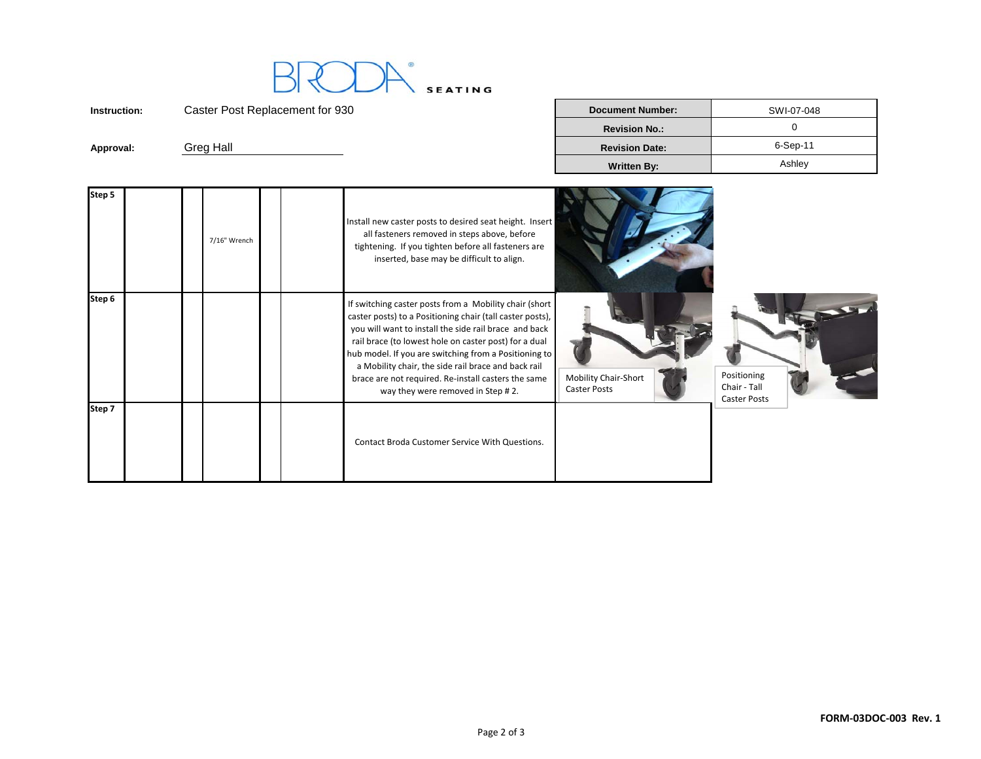

**Instruction:**Caster Post Replacement for 930 **Document Number:** Number: SWI-07-048 **Revision No.:**. In the set of the set of the set of the set of the set of the set of the set of the set of the set of the se<br>Set of the set of the set of the set of the set of the set of the set of the set of the set of the set of the<br>S **Approval:** Greg Hall **Revision Date:** 6-Sep-11 **Written By:** Ashley

| Step 5 |  | 7/16" Wrench |  | Install new caster posts to desired seat height. Insert<br>all fasteners removed in steps above, before<br>tightening. If you tighten before all fasteners are<br>inserted, base may be difficult to align.                                                                                                                                                                                                                                       |                                                    |                                                    |
|--------|--|--------------|--|---------------------------------------------------------------------------------------------------------------------------------------------------------------------------------------------------------------------------------------------------------------------------------------------------------------------------------------------------------------------------------------------------------------------------------------------------|----------------------------------------------------|----------------------------------------------------|
| Step 6 |  |              |  | If switching caster posts from a Mobility chair (short<br>caster posts) to a Positioning chair (tall caster posts),<br>you will want to install the side rail brace and back<br>rail brace (to lowest hole on caster post) for a dual<br>hub model. If you are switching from a Positioning to<br>a Mobility chair, the side rail brace and back rail<br>brace are not required. Re-install casters the same<br>way they were removed in Step #2. | <b>Mobility Chair-Short</b><br><b>Caster Posts</b> | Positioning<br>Chair - Tall<br><b>Caster Posts</b> |
| Step 7 |  |              |  | Contact Broda Customer Service With Questions.                                                                                                                                                                                                                                                                                                                                                                                                    |                                                    |                                                    |